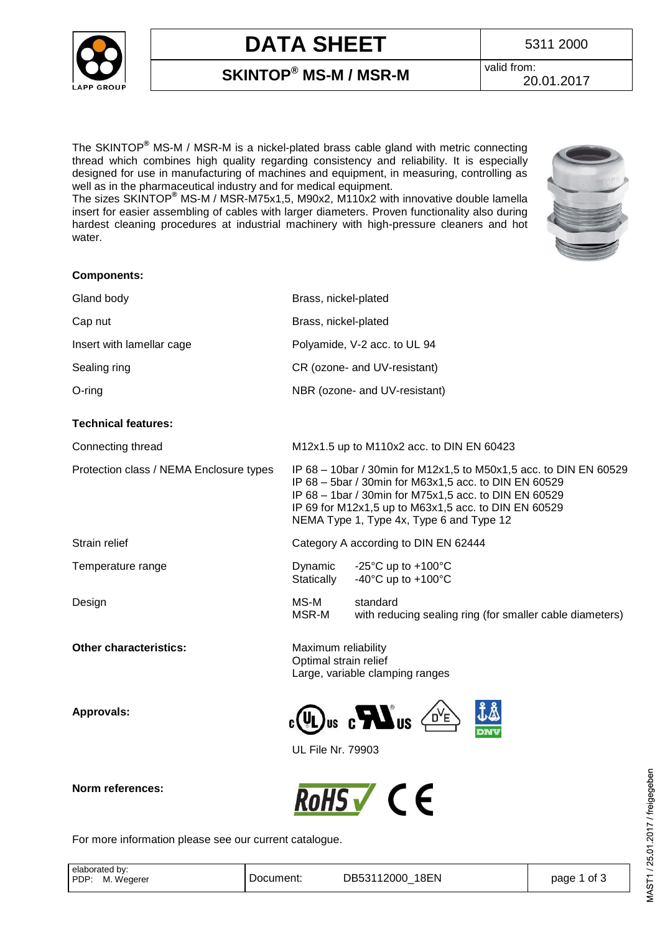

# **DATA SHEET** 5311 2000

valid from:

**SKINTOP® MS-M / MSR-M**

20.01.2017

The SKINTOP**®** MS-M / MSR-M is a nickel-plated brass cable gland with metric connecting thread which combines high quality regarding consistency and reliability. It is especially designed for use in manufacturing of machines and equipment, in measuring, controlling as well as in the pharmaceutical industry and for medical equipment.

The sizes SKINTOP**®** MS-M / MSR-M75x1,5, M90x2, M110x2 with innovative double lamella insert for easier assembling of cables with larger diameters. Proven functionality also during hardest cleaning procedures at industrial machinery with high-pressure cleaners and hot water.



| <b>Components:</b>                      |                                                                                                                                                                                                                                             |
|-----------------------------------------|---------------------------------------------------------------------------------------------------------------------------------------------------------------------------------------------------------------------------------------------|
| Gland body                              | Brass, nickel-plated                                                                                                                                                                                                                        |
| Cap nut                                 | Brass, nickel-plated                                                                                                                                                                                                                        |
| Insert with lamellar cage               | Polyamide, V-2 acc. to UL 94                                                                                                                                                                                                                |
| Sealing ring                            | CR (ozone- and UV-resistant)                                                                                                                                                                                                                |
| $O$ -ring                               | NBR (ozone- and UV-resistant)                                                                                                                                                                                                               |
| <b>Technical features:</b>              |                                                                                                                                                                                                                                             |
| Connecting thread                       | M12x1.5 up to M110x2 acc. to DIN EN 60423                                                                                                                                                                                                   |
| Protection class / NEMA Enclosure types | IP 68 - 10bar / 30min for M12x1,5 to M50x1,5 acc. to DIN EN 60529<br>IP 68 – 5bar / 30min for M63x1,5 acc. to DIN EN 60529<br>IP 68 – 1bar / 30min for M75x1,5 acc. to DIN EN 60529<br>IP 69 for M12x1,5 up to M63x1,5 acc. to DIN EN 60529 |

Strain relief **Category A according to DIN EN 62444** 

Temperature range Dynamic -25°C up to +100°C

Design **MS-M** standard<br>MSR-M with redu

**Other characteristics:** Maximum reliability

**Approvals:**

**Norm references:** 



Large, variable clamping ranges

Statically -40°C up to +100°C

NEMA Type 1, Type 4x, Type 6 and Type 12



with reducing sealing ring (for smaller cable diameters)

UL File Nr. 79903

Optimal strain relief



For more information please see our current catalogue.

| elaborated by:<br>PDP:<br>M. Wegerer | Document: | DB53112000 18EN | page 1 of 3 |
|--------------------------------------|-----------|-----------------|-------------|
|                                      |           |                 |             |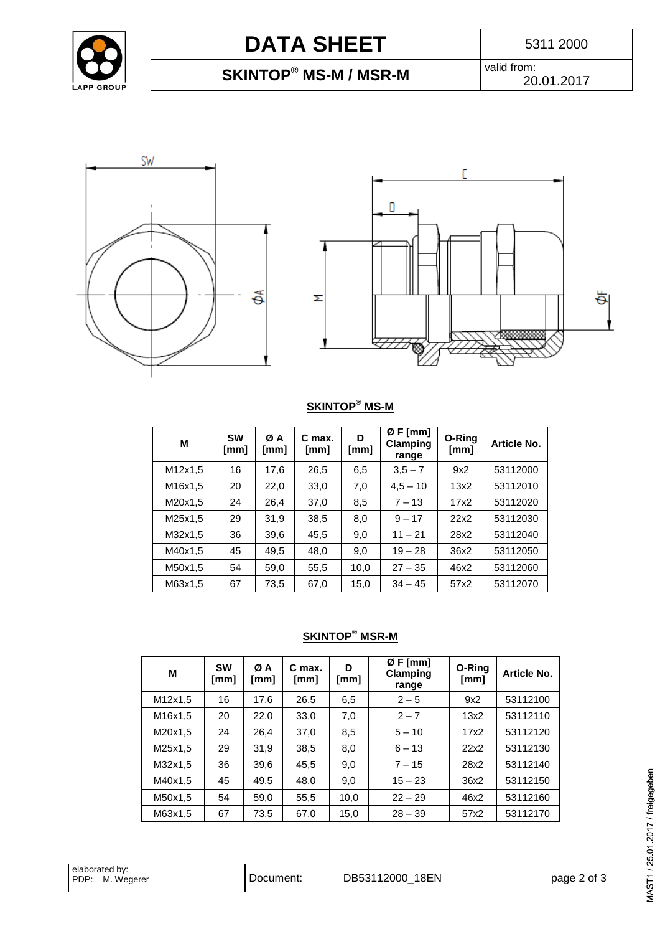

# **DATA SHEET** 5311 2000

## **SKINTOP® MS-M / MSR-M**

valid from: 20.01.2017





### **SKINTOP® MS-M**

| M       | <b>SW</b><br>[mm] | ØΑ<br>[mm] | C max.<br>[mm] | D<br>[mm] | ØF[mm]<br>Clamping<br>range | O-Ring<br>[mm] | Article No. |
|---------|-------------------|------------|----------------|-----------|-----------------------------|----------------|-------------|
| M12x1,5 | 16                | 17,6       | 26,5           | 6,5       | $3,5 - 7$                   | 9x2            | 53112000    |
| M16x1,5 | 20                | 22,0       | 33,0           | 7,0       | $4,5 - 10$                  | 13x2           | 53112010    |
| M20x1,5 | 24                | 26,4       | 37,0           | 8,5       | $7 - 13$                    | 17x2           | 53112020    |
| M25x1,5 | 29                | 31,9       | 38,5           | 8,0       | $9 - 17$                    | 22x2           | 53112030    |
| M32x1,5 | 36                | 39,6       | 45,5           | 9,0       | $11 - 21$                   | 28x2           | 53112040    |
| M40x1,5 | 45                | 49,5       | 48,0           | 9,0       | $19 - 28$                   | 36x2           | 53112050    |
| M50x1,5 | 54                | 59,0       | 55,5           | 10,0      | $27 - 35$                   | 46x2           | 53112060    |
| M63x1,5 | 67                | 73,5       | 67,0           | 15,0      | $34 - 45$                   | 57x2           | 53112070    |

#### **SKINTOP® MSR-M**

| М                                 | <b>SW</b><br>[mm] | ØΑ<br>[mm] | C max.<br>[mm] | D<br>[mm] | ØF[mm]<br>Clamping<br>range | O-Ring<br>[mm] | Article No. |
|-----------------------------------|-------------------|------------|----------------|-----------|-----------------------------|----------------|-------------|
| M12x1,5                           | 16                | 17.6       | 26,5           | 6,5       | $2 - 5$                     | 9x2            | 53112100    |
| M <sub>16</sub> x <sub>1</sub> ,5 | 20                | 22,0       | 33,0           | 7,0       | $2 - 7$                     | 13x2           | 53112110    |
| M20x1.5                           | 24                | 26,4       | 37,0           | 8,5       | $5 - 10$                    | 17x2           | 53112120    |
| M25x1,5                           | 29                | 31,9       | 38,5           | 8,0       | $6 - 13$                    | 22x2           | 53112130    |
| M32x1.5                           | 36                | 39,6       | 45,5           | 9,0       | $7 - 15$                    | 28x2           | 53112140    |
| M40x1.5                           | 45                | 49,5       | 48,0           | 9,0       | $15 - 23$                   | 36x2           | 53112150    |
| M50x1.5                           | 54                | 59.0       | 55,5           | 10.0      | $22 - 29$                   | 46x2           | 53112160    |
| M63x1.5                           | 67                | 73,5       | 67,0           | 15,0      | $28 - 39$                   | 57x2           | 53112170    |

| elaborated by:     |           |                    |             |
|--------------------|-----------|--------------------|-------------|
| M. Wegerer<br>PDP: | Document: | DB53112000<br>18EN | page 2 of 3 |
|                    |           |                    |             |